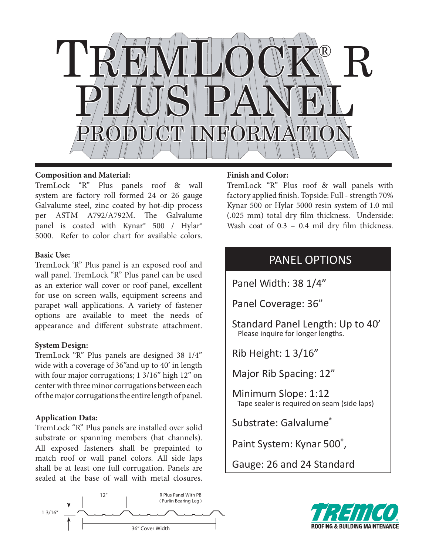

## **Composition and Material:**

TremLock "R" Plus panels roof & wall system are factory roll formed 24 or 26 gauge Galvalume steel, zinc coated by hot-dip process per ASTM A792/A792M. The Galvalume panel is coated with Kynar® 500 / Hylar® 5000. Refer to color chart for available colors.

## **Basic Use:**

TremLock 'R" Plus panel is an exposed roof and wall panel. TremLock "R" Plus panel can be used as an exterior wall cover or roof panel, excellent for use on screen walls, equipment screens and parapet wall applications. A variety of fastener options are available to meet the needs of appearance and different substrate attachment.

# **System Design:**

TremLock "R" Plus panels are designed 38 1/4" wide with a coverage of 36"and up to 40' in length with four major corrugations; 1 3/16" high 12" on center with three minor corrugations between each of the major corrugations the entire length of panel.

# **Application Data:**

TremLock "R" Plus panels are installed over solid substrate or spanning members (hat channels). All exposed fasteners shall be prepainted to match roof or wall panel colors. All side laps shall be at least one full corrugation. Panels are sealed at the base of wall with metal closures.



# **Finish and Color:**

TremLock "R" Plus roof & wall panels with factory applied finish. Topside: Full - strength 70% Kynar 500 or Hylar 5000 resin system of 1.0 mil (.025 mm) total dry film thickness. Underside: Wash coat of  $0.3 - 0.4$  mil dry film thickness.

# PANEL OPTIONS

Panel Width: 38 1/4"

- Panel Coverage: 36"
- Standard Panel Length: Up to 40' Please inquire for longer lengths.
- Rib Height: 1 3/16"

Major Rib Spacing: 12"

Minimum Slope: 1:12 Tape sealer is required on seam (side laps)

Substrate: Galvalume®

Paint System: Kynar 500°,

Gauge: 26 and 24 Standard